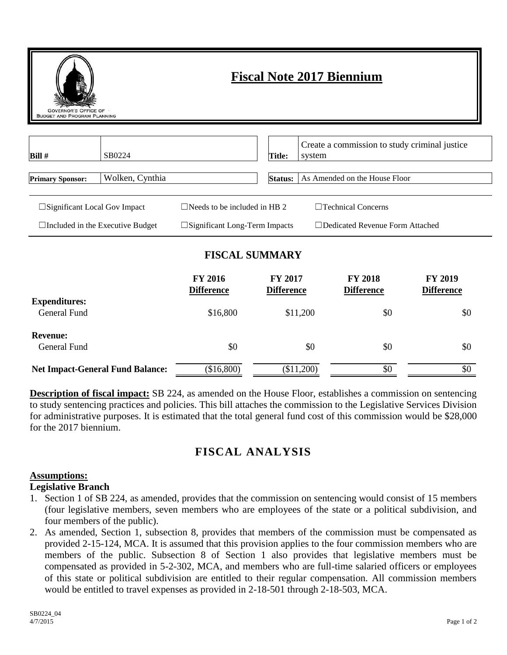| <b>Fiscal Note 2017 Biennium</b><br><b>GOVERNOR'S OFFICE OF</b><br><b>BUDGET AND PROGRAM PLANNING</b> |                 |                                         |                |                                                         |  |  |
|-------------------------------------------------------------------------------------------------------|-----------------|-----------------------------------------|----------------|---------------------------------------------------------|--|--|
| Bill#                                                                                                 | SB0224          |                                         | Title:         | Create a commission to study criminal justice<br>system |  |  |
| <b>Primary Sponsor:</b>                                                                               | Wolken, Cynthia |                                         | <b>Status:</b> | As Amended on the House Floor                           |  |  |
| $\square$ Significant Local Gov Impact                                                                |                 | $\Box$ Needs to be included in HB 2     |                | $\Box$ Technical Concerns                               |  |  |
| $\Box$ Included in the Executive Budget                                                               |                 | $\square$ Significant Long-Term Impacts |                | $\Box$ Dedicated Revenue Form Attached                  |  |  |

## **FISCAL SUMMARY**

|                                             | <b>FY 2016</b><br><b>Difference</b> | <b>FY 2017</b><br><b>Difference</b> | <b>FY 2018</b><br><b>Difference</b> | <b>FY 2019</b><br><b>Difference</b> |
|---------------------------------------------|-------------------------------------|-------------------------------------|-------------------------------------|-------------------------------------|
| <b>Expenditures:</b><br><b>General Fund</b> | \$16,800                            | \$11,200                            | \$0                                 | \$0                                 |
| <b>Revenue:</b><br>General Fund             | \$0                                 | \$0                                 | \$0                                 | \$0                                 |
| <b>Net Impact-General Fund Balance:</b>     | (\$16,800)                          | (\$11,200)                          | \$0                                 | \$0                                 |

**Description of fiscal impact:** SB 224, as amended on the House Floor, establishes a commission on sentencing to study sentencing practices and policies. This bill attaches the commission to the Legislative Services Division for administrative purposes. It is estimated that the total general fund cost of this commission would be \$28,000 for the 2017 biennium.

# **FISCAL ANALYSIS**

#### **Assumptions:**

#### **Legislative Branch**

- 1. Section 1 of SB 224, as amended, provides that the commission on sentencing would consist of 15 members (four legislative members, seven members who are employees of the state or a political subdivision, and four members of the public).
- 2. As amended, Section 1, subsection 8, provides that members of the commission must be compensated as provided 2-15-124, MCA. It is assumed that this provision applies to the four commission members who are members of the public. Subsection 8 of Section 1 also provides that legislative members must be compensated as provided in 5-2-302, MCA, and members who are full-time salaried officers or employees of this state or political subdivision are entitled to their regular compensation. All commission members would be entitled to travel expenses as provided in 2-18-501 through 2-18-503, MCA.